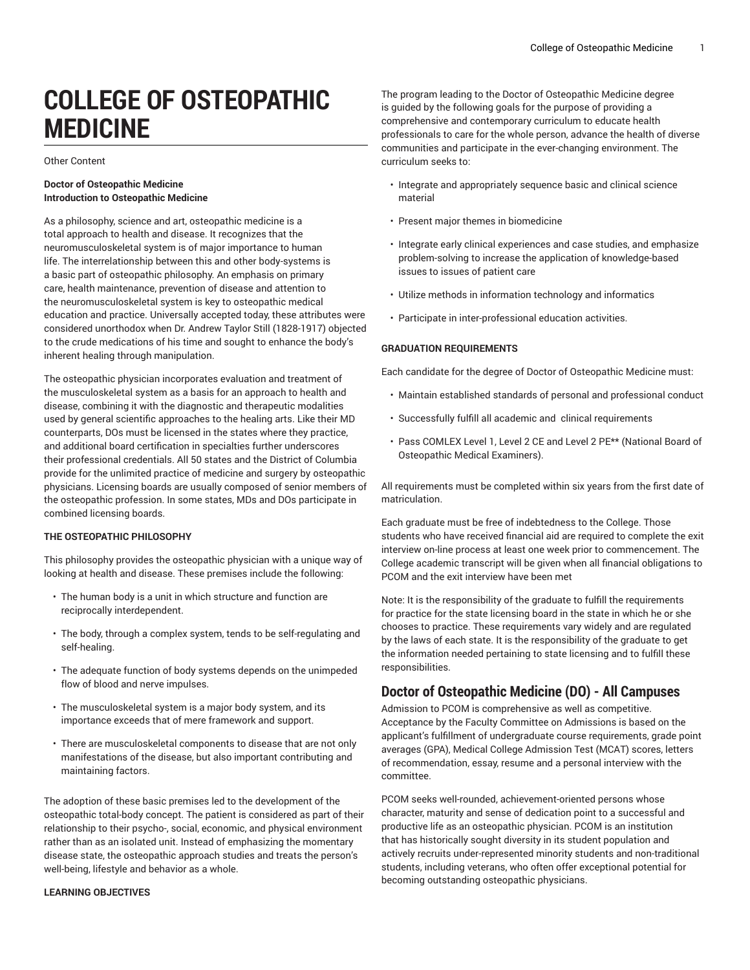# **COLLEGE OF OSTEOPATHIC MEDICINE**

Other Content

#### **Doctor of Osteopathic Medicine Introduction to Osteopathic Medicine**

As a philosophy, science and art, osteopathic medicine is a total approach to health and disease. It recognizes that the neuromusculoskeletal system is of major importance to human life. The interrelationship between this and other body-systems is a basic part of osteopathic philosophy. An emphasis on primary care, health maintenance, prevention of disease and attention to the neuromusculoskeletal system is key to osteopathic medical education and practice. Universally accepted today, these attributes were considered unorthodox when Dr. Andrew Taylor Still (1828-1917) objected to the crude medications of his time and sought to enhance the body's inherent healing through manipulation.

The osteopathic physician incorporates evaluation and treatment of the musculoskeletal system as a basis for an approach to health and disease, combining it with the diagnostic and therapeutic modalities used by general scientific approaches to the healing arts. Like their MD counterparts, DOs must be licensed in the states where they practice, and additional board certification in specialties further underscores their professional credentials. All 50 states and the District of Columbia provide for the unlimited practice of medicine and surgery by osteopathic physicians. Licensing boards are usually composed of senior members of the osteopathic profession. In some states, MDs and DOs participate in combined licensing boards.

### **THE OSTEOPATHIC PHILOSOPHY**

This philosophy provides the osteopathic physician with a unique way of looking at health and disease. These premises include the following:

- The human body is a unit in which structure and function are reciprocally interdependent.
- The body, through a complex system, tends to be self-regulating and self-healing.
- The adequate function of body systems depends on the unimpeded flow of blood and nerve impulses.
- The musculoskeletal system is a major body system, and its importance exceeds that of mere framework and support.
- There are musculoskeletal components to disease that are not only manifestations of the disease, but also important contributing and maintaining factors.

The adoption of these basic premises led to the development of the osteopathic total-body concept. The patient is considered as part of their relationship to their psycho-, social, economic, and physical environment rather than as an isolated unit. Instead of emphasizing the momentary disease state, the osteopathic approach studies and treats the person's well-being, lifestyle and behavior as a whole.

#### **LEARNING OBJECTIVES**

The program leading to the Doctor of Osteopathic Medicine degree is guided by the following goals for the purpose of providing a comprehensive and contemporary curriculum to educate health professionals to care for the whole person, advance the health of diverse communities and participate in the ever-changing environment. The curriculum seeks to:

- Integrate and appropriately sequence basic and clinical science material
- Present major themes in biomedicine
- Integrate early clinical experiences and case studies, and emphasize problem-solving to increase the application of knowledge-based issues to issues of patient care
- Utilize methods in information technology and informatics
- Participate in inter-professional education activities.

#### **GRADUATION REQUIREMENTS**

Each candidate for the degree of Doctor of Osteopathic Medicine must:

- Maintain established standards of personal and professional conduct
- Successfully fulfill all academic and clinical requirements
- Pass COMLEX Level 1, Level 2 CE and Level 2 PE\*\* (National Board of Osteopathic Medical Examiners).

All requirements must be completed within six years from the first date of matriculation.

Each graduate must be free of indebtedness to the College. Those students who have received financial aid are required to complete the exit interview on-line process at least one week prior to commencement. The College academic transcript will be given when all financial obligations to PCOM and the exit interview have been met

Note: It is the responsibility of the graduate to fulfill the requirements for practice for the state licensing board in the state in which he or she chooses to practice. These requirements vary widely and are regulated by the laws of each state. It is the responsibility of the graduate to get the information needed pertaining to state licensing and to fulfill these responsibilities.

### **Doctor of Osteopathic Medicine (DO) - All Campuses**

Admission to PCOM is comprehensive as well as competitive. Acceptance by the Faculty Committee on Admissions is based on the applicant's fulfillment of undergraduate course requirements, grade point averages (GPA), Medical College Admission Test (MCAT) scores, letters of recommendation, essay, resume and a personal interview with the committee.

PCOM seeks well-rounded, achievement-oriented persons whose character, maturity and sense of dedication point to a successful and productive life as an osteopathic physician. PCOM is an institution that has historically sought diversity in its student population and actively recruits under-represented minority students and non-traditional students, including veterans, who often offer exceptional potential for becoming outstanding osteopathic physicians.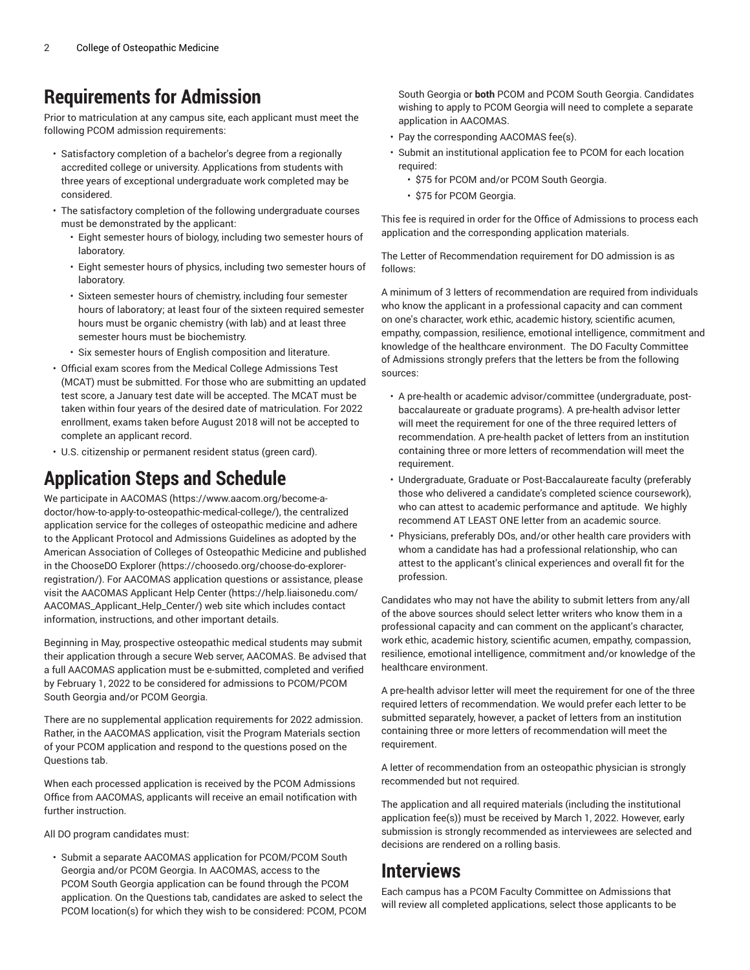### **Requirements for Admission**

Prior to matriculation at any campus site, each applicant must meet the following PCOM admission requirements:

- Satisfactory completion of a bachelor's degree from a regionally accredited college or university. Applications from students with three years of exceptional undergraduate work completed may be considered.
- The satisfactory completion of the following undergraduate courses must be demonstrated by the applicant:
	- Eight semester hours of biology, including two semester hours of laboratory.
	- Eight semester hours of physics, including two semester hours of laboratory.
	- Sixteen semester hours of chemistry, including four semester hours of laboratory; at least four of the sixteen required semester hours must be organic chemistry (with lab) and at least three semester hours must be biochemistry.
	- Six semester hours of English composition and literature.
- Official exam scores from the Medical College Admissions Test (MCAT) must be submitted. For those who are submitting an updated test score, a January test date will be accepted. The MCAT must be taken within four years of the desired date of matriculation. For 2022 enrollment, exams taken before August 2018 will not be accepted to complete an applicant record.
- U.S. citizenship or permanent resident status (green card).

### **Application Steps and Schedule**

We participate in [AACOMAS](https://www.aacom.org/become-a-doctor/how-to-apply-to-osteopathic-medical-college/) [\(https://www.aacom.org/become-a](https://www.aacom.org/become-a-doctor/how-to-apply-to-osteopathic-medical-college/)[doctor/how-to-apply-to-osteopathic-medical-college/](https://www.aacom.org/become-a-doctor/how-to-apply-to-osteopathic-medical-college/)), the centralized application service for the colleges of osteopathic medicine and adhere to the Applicant Protocol and Admissions Guidelines as adopted by the American Association of Colleges of Osteopathic Medicine and published in the [ChooseDO](https://choosedo.org/choose-do-explorer-registration/) Explorer ([https://choosedo.org/choose-do-explorer](https://choosedo.org/choose-do-explorer-registration/)[registration/\)](https://choosedo.org/choose-do-explorer-registration/). For AACOMAS application questions or assistance, please visit the [AACOMAS](https://help.liaisonedu.com/AACOMAS_Applicant_Help_Center/) Applicant Help Center [\(https://help.liaisonedu.com/](https://help.liaisonedu.com/AACOMAS_Applicant_Help_Center/) [AACOMAS\\_Applicant\\_Help\\_Center/\)](https://help.liaisonedu.com/AACOMAS_Applicant_Help_Center/) web site which includes contact information, instructions, and other important details.

Beginning in May, prospective osteopathic medical students may submit their application through a secure Web server, AACOMAS. Be advised that a full AACOMAS application must be e-submitted, completed and verified by February 1, 2022 to be considered for admissions to PCOM/PCOM South Georgia and/or PCOM Georgia.

There are no supplemental application requirements for 2022 admission. Rather, in the AACOMAS application, visit the Program Materials section of your PCOM application and respond to the questions posed on the Questions tab.

When each processed application is received by the PCOM Admissions Office from AACOMAS, applicants will receive an email notification with further instruction.

All DO program candidates must:

• Submit a separate AACOMAS application for PCOM/PCOM South Georgia and/or PCOM Georgia. In AACOMAS, access to the PCOM South Georgia application can be found through the PCOM application. On the Questions tab, candidates are asked to select the PCOM location(s) for which they wish to be considered: PCOM, PCOM South Georgia or **both** PCOM and PCOM South Georgia. Candidates wishing to apply to PCOM Georgia will need to complete a separate application in AACOMAS.

- Pay the corresponding AACOMAS fee(s).
- Submit an institutional application fee to PCOM for each location required:
	- \$75 for PCOM and/or PCOM South Georgia.
	- \$75 for PCOM Georgia.

This fee is required in order for the Office of Admissions to process each application and the corresponding application materials.

The Letter of Recommendation requirement for DO admission is as follows:

A minimum of 3 letters of recommendation are required from individuals who know the applicant in a professional capacity and can comment on one's character, work ethic, academic history, scientific acumen, empathy, compassion, resilience, emotional intelligence, commitment and knowledge of the healthcare environment. The DO Faculty Committee of Admissions strongly prefers that the letters be from the following sources:

- A pre-health or academic advisor/committee (undergraduate, postbaccalaureate or graduate programs). A pre-health advisor letter will meet the requirement for one of the three required letters of recommendation. A pre-health packet of letters from an institution containing three or more letters of recommendation will meet the requirement.
- Undergraduate, Graduate or Post-Baccalaureate faculty (preferably those who delivered a candidate's completed science coursework), who can attest to academic performance and aptitude. We highly recommend AT LEAST ONE letter from an academic source.
- Physicians, preferably DOs, and/or other health care providers with whom a candidate has had a professional relationship, who can attest to the applicant's clinical experiences and overall fit for the profession.

Candidates who may not have the ability to submit letters from any/all of the above sources should select letter writers who know them in a professional capacity and can comment on the applicant's character, work ethic, academic history, scientific acumen, empathy, compassion, resilience, emotional intelligence, commitment and/or knowledge of the healthcare environment.

A pre-health advisor letter will meet the requirement for one of the three required letters of recommendation. We would prefer each letter to be submitted separately, however, a packet of letters from an institution containing three or more letters of recommendation will meet the requirement.

A letter of recommendation from an osteopathic physician is strongly recommended but not required.

The application and all required materials (including the institutional application fee(s)) must be received by March 1, 2022. However, early submission is strongly recommended as interviewees are selected and decisions are rendered on a rolling basis.

### **Interviews**

Each campus has a PCOM Faculty Committee on Admissions that will review all completed applications, select those applicants to be